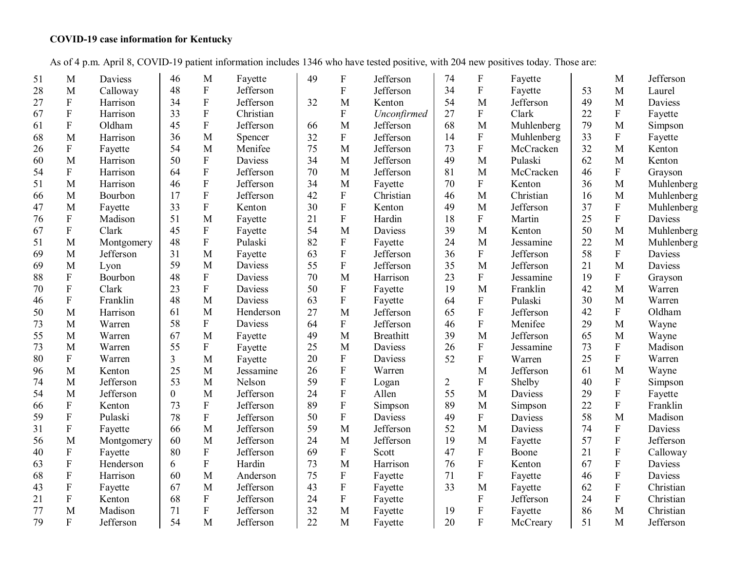## **COVID-19 case information for Kentucky**

As of 4 p.m. April 8, COVID-19 patient information includes 1346 who have tested positive, with 204 new positives today. Those are:

| 51 | M              | Daviess    | 46             | M                         | Fayette        | 49 | F                         | Jefferson        | 74             | F                         | Fayette        |    | M                         | Jefferson      |
|----|----------------|------------|----------------|---------------------------|----------------|----|---------------------------|------------------|----------------|---------------------------|----------------|----|---------------------------|----------------|
| 28 | M              | Calloway   | 48             | ${\bf F}$                 | Jefferson      |    | ${\bf F}$                 | Jefferson        | 34             | ${\bf F}$                 | Fayette        | 53 | M                         | Laurel         |
| 27 | ${\bf F}$      | Harrison   | 34             | $\mathbf F$               | Jefferson      | 32 | M                         | Kenton           | 54             | M                         | Jefferson      | 49 | M                         | <b>Daviess</b> |
| 67 | $\rm F$        | Harrison   | 33             | $\overline{F}$            | Christian      |    | $\mathbf{F}$              | Unconfirmed      | 27             | ${\bf F}$                 | Clark          | 22 | ${\bf F}$                 | Fayette        |
| 61 | $\rm F$        | Oldham     | 45             | $\boldsymbol{\mathrm{F}}$ | Jefferson      | 66 | M                         | Jefferson        | 68             | M                         | Muhlenberg     | 79 | M                         | Simpson        |
| 68 | M              | Harrison   | 36             | M                         | Spencer        | 32 | $\mathbf F$               | Jefferson        | 14             | ${\bf F}$                 | Muhlenberg     | 33 | ${\bf F}$                 | Fayette        |
| 26 | ${\bf F}$      | Fayette    | 54             | M                         | Menifee        | 75 | M                         | Jefferson        | 73             | ${\bf F}$                 | McCracken      | 32 | M                         | Kenton         |
| 60 | M              | Harrison   | 50             | ${\bf F}$                 | Daviess        | 34 | $\mathbf{M}$              | Jefferson        | 49             | M                         | Pulaski        | 62 | M                         | Kenton         |
| 54 | $\mathbf{F}$   | Harrison   | 64             | $\boldsymbol{\mathrm{F}}$ | Jefferson      | 70 | $\mathbf{M}$              | Jefferson        | 81             | M                         | McCracken      | 46 | ${\bf F}$                 | Grayson        |
| 51 | M              | Harrison   | 46             | $\overline{F}$            | Jefferson      | 34 | M                         | Fayette          | 70             | ${\bf F}$                 | Kenton         | 36 | M                         | Muhlenberg     |
| 66 | M              | Bourbon    | 17             | $\overline{F}$            | Jefferson      | 42 | ${\bf F}$                 | Christian        | 46             | M                         | Christian      | 16 | M                         | Muhlenberg     |
| 47 | M              | Fayette    | 33             | $\boldsymbol{\mathrm{F}}$ | Kenton         | 30 | $\mathbf F$               | Kenton           | 49             | M                         | Jefferson      | 37 | ${\bf F}$                 | Muhlenberg     |
| 76 | ${\bf F}$      | Madison    | 51             | M                         | Fayette        | 21 | $\mathbf F$               | Hardin           | 18             | $\mathbf F$               | Martin         | 25 | $\mathbf F$               | Daviess        |
| 67 | $\overline{F}$ | Clark      | 45             | ${\bf F}$                 | Fayette        | 54 | M                         | <b>Daviess</b>   | 39             | M                         | Kenton         | 50 | M                         | Muhlenberg     |
| 51 | M              | Montgomery | 48             | $\overline{F}$            | Pulaski        | 82 | ${\bf F}$                 | Fayette          | 24             | M                         | Jessamine      | 22 | M                         | Muhlenberg     |
| 69 | M              | Jefferson  | 31             | M                         | Fayette        | 63 | ${\bf F}$                 | Jefferson        | 36             | ${\bf F}$                 | Jefferson      | 58 | ${\bf F}$                 | Daviess        |
| 69 | M              | Lyon       | 59             | M                         | Daviess        | 55 | ${\bf F}$                 | Jefferson        | 35             | M                         | Jefferson      | 21 | M                         | Daviess        |
| 88 | ${\bf F}$      | Bourbon    | 48             | $\rm F$                   | Daviess        | 70 | M                         | Harrison         | 23             | $\mathbf F$               | Jessamine      | 19 | ${\bf F}$                 | Grayson        |
| 70 | $\overline{F}$ | Clark      | 23             | ${\bf F}$                 | Daviess        | 50 | ${\bf F}$                 | Fayette          | 19             | M                         | Franklin       | 42 | M                         | Warren         |
| 46 | $\rm F$        | Franklin   | 48             | M                         | <b>Daviess</b> | 63 | ${\bf F}$                 | Fayette          | 64             | ${\bf F}$                 | Pulaski        | 30 | M                         | Warren         |
| 50 | M              | Harrison   | 61             | M                         | Henderson      | 27 | M                         | Jefferson        | 65             | ${\bf F}$                 | Jefferson      | 42 | ${\bf F}$                 | Oldham         |
| 73 | M              | Warren     | 58             | $\rm F$                   | <b>Daviess</b> | 64 | $\boldsymbol{F}$          | Jefferson        | 46             | ${\bf F}$                 | Menifee        | 29 | M                         | Wayne          |
| 55 | M              | Warren     | 67             | M                         | Fayette        | 49 | M                         | <b>Breathitt</b> | 39             | M                         | Jefferson      | 65 | M                         | Wayne          |
| 73 | M              | Warren     | 55             | $\rm F$                   | Fayette        | 25 | M                         | <b>Daviess</b>   | 26             | $\rm F$                   | Jessamine      | 73 | ${\bf F}$                 | Madison        |
| 80 | ${\bf F}$      | Warren     | 3              | M                         | Fayette        | 20 | ${\bf F}$                 | Daviess          | 52             | $\mathbf F$               | Warren         | 25 | $\boldsymbol{\mathrm{F}}$ | Warren         |
| 96 | M              | Kenton     | 25             | M                         | Jessamine      | 26 | ${\bf F}$                 | Warren           |                | M                         | Jefferson      | 61 | M                         | Wayne          |
| 74 | M              | Jefferson  | 53             | M                         | Nelson         | 59 | ${\bf F}$                 | Logan            | $\overline{2}$ | ${\bf F}$                 | Shelby         | 40 | ${\bf F}$                 | Simpson        |
| 54 | M              | Jefferson  | $\overline{0}$ | M                         | Jefferson      | 24 | ${\bf F}$                 | Allen            | 55             | M                         | <b>Daviess</b> | 29 | $\boldsymbol{\mathrm{F}}$ | Fayette        |
| 66 | ${\bf F}$      | Kenton     | 73             | $\rm F$                   | Jefferson      | 89 | ${\bf F}$                 | Simpson          | 89             | M                         | Simpson        | 22 | $\boldsymbol{\mathrm{F}}$ | Franklin       |
| 59 | ${\bf F}$      | Pulaski    | 78             | $\mathbf F$               | Jefferson      | 50 | ${\bf F}$                 | Daviess          | 49             | $\rm F$                   | Daviess        | 58 | M                         | Madison        |
| 31 | ${\bf F}$      | Fayette    | 66             | M                         | Jefferson      | 59 | M                         | Jefferson        | 52             | M                         | Daviess        | 74 | ${\bf F}$                 | <b>Daviess</b> |
| 56 | M              | Montgomery | 60             | M                         | Jefferson      | 24 | M                         | Jefferson        | 19             | M                         | Fayette        | 57 | ${\bf F}$                 | Jefferson      |
| 40 | ${\bf F}$      | Fayette    | 80             | ${\bf F}$                 | Jefferson      | 69 | $\boldsymbol{\mathrm{F}}$ | Scott            | 47             | ${\bf F}$                 | Boone          | 21 | $\mathbf F$               | Calloway       |
| 63 | $\rm F$        | Henderson  | 6              | $\mathbf F$               | Hardin         | 73 | M                         | Harrison         | 76             | $\boldsymbol{\mathrm{F}}$ | Kenton         | 67 | $\boldsymbol{\mathrm{F}}$ | Daviess        |
| 68 | $\rm F$        | Harrison   | 60             | $\mathbf{M}$              | Anderson       | 75 | $\boldsymbol{\mathrm{F}}$ | Fayette          | 71             | $\boldsymbol{\mathrm{F}}$ | Fayette        | 46 | $\boldsymbol{\mathrm{F}}$ | Daviess        |
| 43 | ${\bf F}$      | Fayette    | 67             | M                         | Jefferson      | 43 | ${\bf F}$                 | Fayette          | 33             | M                         | Fayette        | 62 | $\mathbf F$               | Christian      |
| 21 | ${\bf F}$      | Kenton     | 68             | $\mathbf F$               | Jefferson      | 24 | $\boldsymbol{\mathrm{F}}$ | Fayette          |                | ${\bf F}$                 | Jefferson      | 24 | $\boldsymbol{\mathrm{F}}$ | Christian      |
| 77 | M              | Madison    | 71             | $\overline{F}$            | Jefferson      | 32 | M                         | Fayette          | 19             | ${\bf F}$                 | Fayette        | 86 | M                         | Christian      |
| 79 | ${\bf F}$      | Jefferson  | 54             | M                         | Jefferson      | 22 | M                         | Fayette          | 20             | ${\bf F}$                 | McCreary       | 51 | M                         | Jefferson      |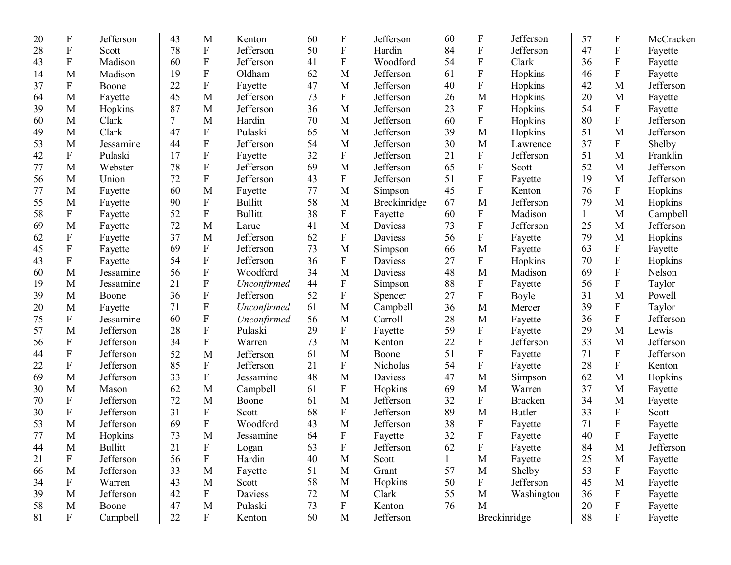| 20 | F                         | Jefferson      | 43     | M                         | Kenton         | 60 | F                         | Jefferson    | 60           | $\boldsymbol{F}$          | Jefferson      | 57           | $\boldsymbol{F}$          | McCracken |
|----|---------------------------|----------------|--------|---------------------------|----------------|----|---------------------------|--------------|--------------|---------------------------|----------------|--------------|---------------------------|-----------|
| 28 | $\boldsymbol{\mathrm{F}}$ | Scott          | 78     | ${\bf F}$                 | Jefferson      | 50 | ${\bf F}$                 | Hardin       | 84           | $\boldsymbol{\mathrm{F}}$ | Jefferson      | 47           | $\boldsymbol{\mathrm{F}}$ | Fayette   |
| 43 | $\boldsymbol{\mathrm{F}}$ | Madison        | 60     | ${\bf F}$                 | Jefferson      | 41 | $\mathbf F$               | Woodford     | 54           | $\boldsymbol{\mathrm{F}}$ | Clark          | 36           | ${\bf F}$                 | Fayette   |
| 14 | M                         | Madison        | 19     | ${\bf F}$                 | Oldham         | 62 | M                         | Jefferson    | 61           | ${\bf F}$                 | Hopkins        | 46           | F                         | Fayette   |
| 37 | F                         | Boone          | 22     | ${\bf F}$                 | Fayette        | 47 | M                         | Jefferson    | 40           | $\boldsymbol{\mathrm{F}}$ | Hopkins        | 42           | M                         | Jefferson |
| 64 | M                         | Fayette        | 45     | M                         | Jefferson      | 73 | F                         | Jefferson    | 26           | M                         | Hopkins        | 20           | M                         | Fayette   |
| 39 | M                         | Hopkins        | 87     | M                         | Jefferson      | 36 | M                         | Jefferson    | 23           | $\boldsymbol{\mathrm{F}}$ | Hopkins        | 54           | ${\bf F}$                 | Fayette   |
| 60 | M                         | Clark          | 7      | M                         | Hardin         | 70 | M                         | Jefferson    | 60           | F                         | Hopkins        | 80           | F                         | Jefferson |
| 49 | M                         | Clark          | 47     | ${\bf F}$                 | Pulaski        | 65 | M                         | Jefferson    | 39           | $\mathbf M$               | Hopkins        | 51           | M                         | Jefferson |
| 53 | M                         | Jessamine      | 44     | $\boldsymbol{\mathrm{F}}$ | Jefferson      | 54 | M                         | Jefferson    | 30           | M                         | Lawrence       | 37           | F                         | Shelby    |
| 42 | $\boldsymbol{\mathrm{F}}$ | Pulaski        | 17     | ${\bf F}$                 | Fayette        | 32 | F                         | Jefferson    | 21           | $\boldsymbol{\mathrm{F}}$ | Jefferson      | 51           | M                         | Franklin  |
| 77 | M                         | Webster        | 78     | $\boldsymbol{\mathrm{F}}$ | Jefferson      | 69 | M                         | Jefferson    | 65           | $\boldsymbol{\mathrm{F}}$ | Scott          | 52           | M                         | Jefferson |
| 56 | M                         | Union          | 72     | ${\bf F}$                 | Jefferson      | 43 | $\boldsymbol{F}$          | Jefferson    | 51           | F                         | Fayette        | 19           | M                         | Jefferson |
| 77 | M                         | Fayette        | 60     | M                         | Fayette        | 77 | M                         | Simpson      | 45           | ${\bf F}$                 | Kenton         | 76           | F                         | Hopkins   |
| 55 | M                         | Fayette        | 90     | ${\bf F}$                 | <b>Bullitt</b> | 58 | M                         | Breckinridge | 67           | M                         | Jefferson      | 79           | M                         | Hopkins   |
| 58 | F                         | Fayette        | 52     | ${\bf F}$                 | <b>Bullitt</b> | 38 | F                         | Fayette      | 60           | F                         | Madison        | $\mathbf{1}$ | M                         | Campbell  |
| 69 | M                         | Fayette        | 72     | M                         | Larue          | 41 | M                         | Daviess      | 73           | F                         | Jefferson      | 25           | M                         | Jefferson |
| 62 | F                         | Fayette        | 37     | M                         | Jefferson      | 62 | $\boldsymbol{F}$          | Daviess      | 56           | ${\bf F}$                 | Fayette        | 79           | M                         | Hopkins   |
| 45 | ${\bf F}$                 | Fayette        | 69     | ${\bf F}$                 | Jefferson      | 73 | M                         | Simpson      | 66           | M                         | Fayette        | 63           | ${\bf F}$                 | Fayette   |
| 43 | ${\bf F}$                 | Fayette        | 54     | ${\bf F}$                 | Jefferson      | 36 | F                         | Daviess      | 27           | ${\bf F}$                 | Hopkins        | 70           | ${\bf F}$                 | Hopkins   |
| 60 | M                         | Jessamine      | 56     | ${\bf F}$                 | Woodford       | 34 | M                         | Daviess      | 48           | M                         | Madison        | 69           | ${\bf F}$                 | Nelson    |
| 19 | M                         | Jessamine      | 21     | $\boldsymbol{\mathrm{F}}$ | Unconfirmed    | 44 | F                         | Simpson      | 88           | ${\bf F}$                 | Fayette        | 56           | $\mathbf F$               | Taylor    |
| 39 | M                         | Boone          | 36     | $\boldsymbol{\mathrm{F}}$ | Jefferson      | 52 | $\mathbf F$               | Spencer      | 27           | ${\bf F}$                 | Boyle          | 31           | M                         | Powell    |
| 20 | M                         | Fayette        | 71     | ${\bf F}$                 | Unconfirmed    | 61 | M                         | Campbell     | 36           | M                         | Mercer         | 39           | $\boldsymbol{\mathrm{F}}$ | Taylor    |
| 75 | $\boldsymbol{\mathrm{F}}$ | Jessamine      | 60     | ${\bf F}$                 | Unconfirmed    | 56 | M                         | Carroll      | 28           | M                         | Fayette        | 36           | ${\bf F}$                 | Jefferson |
| 57 | M                         | Jefferson      | 28     | ${\bf F}$                 | Pulaski        | 29 | F                         | Fayette      | 59           | ${\bf F}$                 | Fayette        | 29           | M                         | Lewis     |
| 56 | F                         | Jefferson      | 34     | ${\bf F}$                 | Warren         | 73 | M                         | Kenton       | 22           | ${\bf F}$                 | Jefferson      | 33           | M                         | Jefferson |
| 44 | ${\bf F}$                 | Jefferson      | 52     | M                         | Jefferson      | 61 | M                         | Boone        | 51           | ${\bf F}$                 | Fayette        | 71           | ${\bf F}$                 | Jefferson |
| 22 | ${\bf F}$                 | Jefferson      | 85     | ${\bf F}$                 | Jefferson      | 21 | ${\bf F}$                 | Nicholas     | 54           | ${\bf F}$                 | Fayette        | 28           | F                         | Kenton    |
| 69 | M                         | Jefferson      | 33     | ${\bf F}$                 | Jessamine      | 48 | M                         | Daviess      | 47           | M                         | Simpson        | 62           | M                         | Hopkins   |
| 30 | M                         | Mason          | 62     | M                         | Campbell       | 61 | F                         | Hopkins      | 69           | M                         | Warren         | 37           | M                         | Fayette   |
| 70 | F                         | Jefferson      | 72     | M                         | Boone          | 61 | M                         | Jefferson    | 32           | ${\bf F}$                 | <b>Bracken</b> | 34           | M                         | Fayette   |
| 30 | ${\bf F}$                 | Jefferson      | 31     | $\boldsymbol{\mathrm{F}}$ | Scott          | 68 | $\boldsymbol{\mathrm{F}}$ | Jefferson    | 89           | M                         | <b>Butler</b>  | 33           | $\boldsymbol{F}$          | Scott     |
| 53 | M                         | Jefferson      | 69     | ${\bf F}$                 | Woodford       | 43 | M                         | Jefferson    | 38           | $\boldsymbol{\mathrm{F}}$ | Fayette        | 71           | ${\bf F}$                 | Fayette   |
| 77 | M                         | Hopkins        | 73     | M                         | Jessamine      | 64 | $\boldsymbol{\mathrm{F}}$ | Fayette      | 32           | ${\bf F}$                 | Fayette        | 40           | $\mathbf F$               | Fayette   |
| 44 | M                         | <b>Bullitt</b> | 21     | $\boldsymbol{\mathrm{F}}$ | Logan          | 63 | $\boldsymbol{F}$          | Jefferson    | 62           | $\boldsymbol{\mathrm{F}}$ | Fayette        | 84           | $\mathbf M$               | Jefferson |
| 21 | $\boldsymbol{\mathrm{F}}$ | Jefferson      | 56     | $\mathbf F$               | Hardin         | 40 | M                         | Scott        | $\mathbf{1}$ | M                         | Fayette        | 25           | M                         | Fayette   |
| 66 | M                         | Jefferson      | 33     | M                         | Fayette        | 51 | M                         | Grant        | 57           | $\mathbf M$               | Shelby         | 53           | F                         | Fayette   |
| 34 | F                         | Warren         | 43     | M                         | Scott          | 58 | M                         | Hopkins      | 50           | F                         | Jefferson      | 45           | M                         | Fayette   |
| 39 | $\mathbf M$               | Jefferson      | 42     | ${\bf F}$                 | Daviess        | 72 | M                         | Clark        | 55           | M                         | Washington     | 36           | ${\bf F}$                 | Fayette   |
| 58 | M                         | Boone          | 47     | $\mathbf M$               | Pulaski        | 73 | $\mathbf{F}$              | Kenton       | 76           | M                         |                | 20           | $\rm F$                   | Fayette   |
| 81 | $\mathbf{F}$              | Campbell       | $22\,$ | $\mathbf{F}$              | Kenton         | 60 | M                         | Jefferson    |              |                           | Breckinridge   | 88           | ${\bf F}$                 | Fayette   |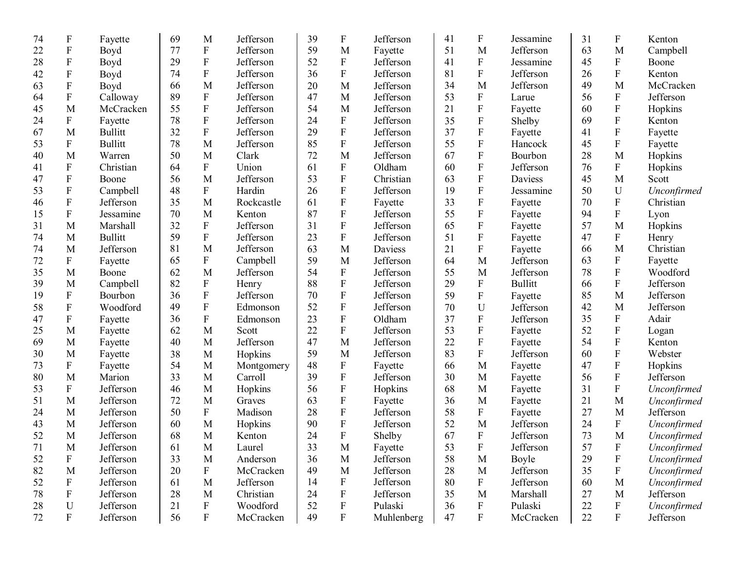| 74 | $\boldsymbol{\mathrm{F}}$ | Fayette        | 69 | M                         | Jefferson  | 39 | $\boldsymbol{\mathrm{F}}$ | Jefferson  | 41 | F                         | Jessamine      | 31 | F                         | Kenton      |
|----|---------------------------|----------------|----|---------------------------|------------|----|---------------------------|------------|----|---------------------------|----------------|----|---------------------------|-------------|
| 22 | $\boldsymbol{\mathrm{F}}$ | Boyd           | 77 | ${\bf F}$                 | Jefferson  | 59 | M                         | Fayette    | 51 | M                         | Jefferson      | 63 | M                         | Campbell    |
| 28 | ${\bf F}$                 | Boyd           | 29 | ${\bf F}$                 | Jefferson  | 52 | ${\bf F}$                 | Jefferson  | 41 | $\mathbf F$               | Jessamine      | 45 | ${\bf F}$                 | Boone       |
| 42 | ${\bf F}$                 | Boyd           | 74 | ${\bf F}$                 | Jefferson  | 36 | $\boldsymbol{\mathrm{F}}$ | Jefferson  | 81 | ${\bf F}$                 | Jefferson      | 26 | ${\bf F}$                 | Kenton      |
| 63 | ${\bf F}$                 | Boyd           | 66 | M                         | Jefferson  | 20 | M                         | Jefferson  | 34 | M                         | Jefferson      | 49 | M                         | McCracken   |
| 64 | ${\bf F}$                 | Calloway       | 89 | F                         | Jefferson  | 47 | M                         | Jefferson  | 53 | ${\bf F}$                 | Larue          | 56 | F                         | Jefferson   |
| 45 | M                         | McCracken      | 55 | ${\bf F}$                 | Jefferson  | 54 | M                         | Jefferson  | 21 | $\boldsymbol{\mathrm{F}}$ | Fayette        | 60 | ${\bf F}$                 | Hopkins     |
| 24 | F                         | Fayette        | 78 | ${\bf F}$                 | Jefferson  | 24 | ${\bf F}$                 | Jefferson  | 35 | ${\bf F}$                 | Shelby         | 69 | ${\bf F}$                 | Kenton      |
| 67 | M                         | <b>Bullitt</b> | 32 | ${\bf F}$                 | Jefferson  | 29 | ${\bf F}$                 | Jefferson  | 37 | ${\bf F}$                 | Fayette        | 41 | ${\bf F}$                 | Fayette     |
| 53 | $\boldsymbol{\mathrm{F}}$ | <b>Bullitt</b> | 78 | M                         | Jefferson  | 85 | $\boldsymbol{\mathrm{F}}$ | Jefferson  | 55 | ${\bf F}$                 | Hancock        | 45 | ${\bf F}$                 | Fayette     |
| 40 | M                         | Warren         | 50 | M                         | Clark      | 72 | M                         | Jefferson  | 67 | ${\bf F}$                 | Bourbon        | 28 | M                         | Hopkins     |
| 41 | ${\bf F}$                 | Christian      | 64 | $\mathbf F$               | Union      | 61 | ${\bf F}$                 | Oldham     | 60 | ${\bf F}$                 | Jefferson      | 76 | F                         | Hopkins     |
| 47 | ${\bf F}$                 | Boone          | 56 | M                         | Jefferson  | 53 | $\boldsymbol{\mathrm{F}}$ | Christian  | 63 | ${\bf F}$                 | Daviess        | 45 | M                         | Scott       |
| 53 | ${\bf F}$                 | Campbell       | 48 | ${\bf F}$                 | Hardin     | 26 | $\boldsymbol{\mathrm{F}}$ | Jefferson  | 19 | $\boldsymbol{\mathrm{F}}$ | Jessamine      | 50 | U                         | Unconfirmed |
| 46 | ${\bf F}$                 | Jefferson      | 35 | M                         | Rockcastle | 61 | ${\bf F}$                 | Fayette    | 33 | ${\bf F}$                 | Fayette        | 70 | ${\bf F}$                 | Christian   |
| 15 | ${\bf F}$                 | Jessamine      | 70 | M                         | Kenton     | 87 | $\boldsymbol{\mathrm{F}}$ | Jefferson  | 55 | $\boldsymbol{\mathrm{F}}$ | Fayette        | 94 | ${\bf F}$                 | Lyon        |
| 31 | M                         | Marshall       | 32 | ${\bf F}$                 | Jefferson  | 31 | ${\bf F}$                 | Jefferson  | 65 | ${\bf F}$                 | Fayette        | 57 | M                         | Hopkins     |
| 74 | M                         | <b>Bullitt</b> | 59 | ${\bf F}$                 | Jefferson  | 23 | ${\bf F}$                 | Jefferson  | 51 | ${\bf F}$                 | Fayette        | 47 | ${\bf F}$                 | Henry       |
| 74 | M                         | Jefferson      | 81 | M                         | Jefferson  | 63 | M                         | Daviess    | 21 | ${\bf F}$                 | Fayette        | 66 | M                         | Christian   |
| 72 | $\boldsymbol{\mathrm{F}}$ | Fayette        | 65 | ${\bf F}$                 | Campbell   | 59 | M                         | Jefferson  | 64 | M                         | Jefferson      | 63 | F                         | Fayette     |
| 35 | M                         | Boone          | 62 | M                         | Jefferson  | 54 | ${\bf F}$                 | Jefferson  | 55 | M                         | Jefferson      | 78 | ${\bf F}$                 | Woodford    |
| 39 | $\mathbf M$               | Campbell       | 82 | ${\bf F}$                 | Henry      | 88 | ${\bf F}$                 | Jefferson  | 29 | ${\bf F}$                 | <b>Bullitt</b> | 66 | $\mathbf F$               | Jefferson   |
| 19 | F                         | Bourbon        | 36 | $\mathbf F$               | Jefferson  | 70 | ${\bf F}$                 | Jefferson  | 59 | ${\bf F}$                 | Fayette        | 85 | M                         | Jefferson   |
| 58 | ${\bf F}$                 | Woodford       | 49 | $\mathbf F$               | Edmonson   | 52 | ${\bf F}$                 | Jefferson  | 70 | U                         | Jefferson      | 42 | M                         | Jefferson   |
| 47 | F                         | Fayette        | 36 | ${\bf F}$                 | Edmonson   | 23 | ${\bf F}$                 | Oldham     | 37 | ${\bf F}$                 | Jefferson      | 35 | F                         | Adair       |
| 25 | M                         | Fayette        | 62 | M                         | Scott      | 22 | ${\bf F}$                 | Jefferson  | 53 | $\mathbf F$               | Fayette        | 52 | ${\bf F}$                 | Logan       |
| 69 | M                         | Fayette        | 40 | M                         | Jefferson  | 47 | M                         | Jefferson  | 22 | ${\bf F}$                 | Fayette        | 54 | ${\bf F}$                 | Kenton      |
| 30 | M                         | Fayette        | 38 | M                         | Hopkins    | 59 | M                         | Jefferson  | 83 | ${\bf F}$                 | Jefferson      | 60 | ${\bf F}$                 | Webster     |
| 73 | F                         | Fayette        | 54 | M                         | Montgomery | 48 | ${\bf F}$                 | Fayette    | 66 | M                         | Fayette        | 47 | ${\bf F}$                 | Hopkins     |
| 80 | M                         | Marion         | 33 | M                         | Carroll    | 39 | ${\bf F}$                 | Jefferson  | 30 | M                         | Fayette        | 56 | ${\bf F}$                 | Jefferson   |
| 53 | $\boldsymbol{F}$          | Jefferson      | 46 | M                         | Hopkins    | 56 | ${\bf F}$                 | Hopkins    | 68 | M                         | Fayette        | 31 | $\mathbf F$               | Unconfirmed |
| 51 | M                         | Jefferson      | 72 | M                         | Graves     | 63 | ${\bf F}$                 | Fayette    | 36 | M                         | Fayette        | 21 | M                         | Unconfirmed |
| 24 | M                         | Jefferson      | 50 | ${\bf F}$                 | Madison    | 28 | $\boldsymbol{\mathrm{F}}$ | Jefferson  | 58 | ${\bf F}$                 | Fayette        | 27 | M                         | Jefferson   |
| 43 | M                         | Jefferson      | 60 | M                         | Hopkins    | 90 | ${\bf F}$                 | Jefferson  | 52 | M                         | Jefferson      | 24 | $\mathbf{F}$              | Unconfirmed |
| 52 | M                         | Jefferson      | 68 | M                         | Kenton     | 24 | ${\bf F}$                 | Shelby     | 67 | ${\bf F}$                 | Jefferson      | 73 | M                         | Unconfirmed |
| 71 | M                         | Jefferson      | 61 | $\mathbf M$               | Laurel     | 33 | $\mathbf M$               | Fayette    | 53 | $\mathbf F$               | Jefferson      | 57 | $\mathbf{F}$              | Unconfirmed |
| 52 | $\mathbf F$               | Jefferson      | 33 | M                         | Anderson   | 36 | M                         | Jefferson  | 58 | M                         | Boyle          | 29 | $\boldsymbol{\mathrm{F}}$ | Unconfirmed |
| 82 | M                         | Jefferson      | 20 | $\boldsymbol{\mathrm{F}}$ | McCracken  | 49 | M                         | Jefferson  | 28 | M                         | Jefferson      | 35 | F                         | Unconfirmed |
| 52 | $\mathbf F$               | Jefferson      | 61 | $\mathbf M$               | Jefferson  | 14 | $\boldsymbol{\mathrm{F}}$ | Jefferson  | 80 | F                         | Jefferson      | 60 | M                         | Unconfirmed |
| 78 | F                         | Jefferson      | 28 | M                         | Christian  | 24 | ${\bf F}$                 | Jefferson  | 35 | M                         | Marshall       | 27 | M                         | Jefferson   |
| 28 | $\mathbf U$               | Jefferson      | 21 | $\boldsymbol{\mathrm{F}}$ | Woodford   | 52 | $\boldsymbol{\mathrm{F}}$ | Pulaski    | 36 | $\mathbf F$               | Pulaski        | 22 | $\boldsymbol{\mathrm{F}}$ | Unconfirmed |
| 72 | $\mathbf F$               | Jefferson      | 56 | $\boldsymbol{\mathrm{F}}$ | McCracken  | 49 | ${\bf F}$                 | Muhlenberg | 47 | $\boldsymbol{\mathrm{F}}$ | McCracken      | 22 | $\mathbf{F}$              | Jefferson   |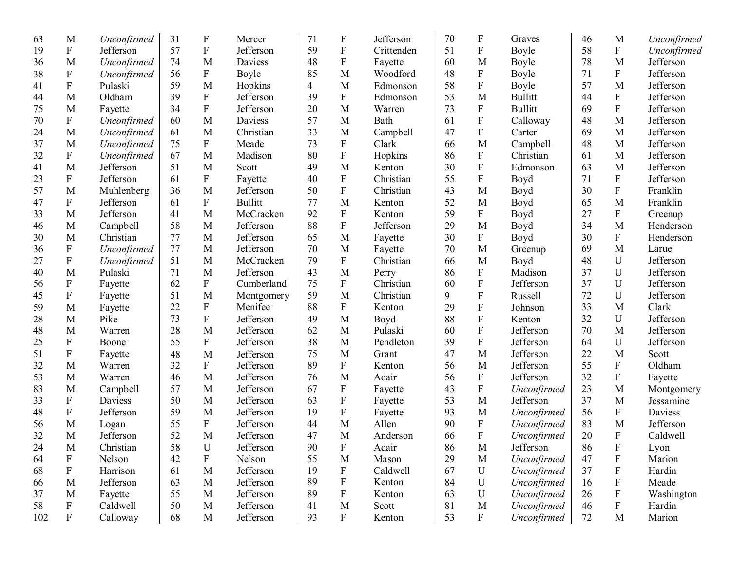| 63  | M                         | Unconfirmed | 31 | $\boldsymbol{\mathrm{F}}$ | Mercer         | 71 | $\mathbf F$               | Jefferson  | 70 | F                         | Graves         | 46 | M                         | Unconfirmed |
|-----|---------------------------|-------------|----|---------------------------|----------------|----|---------------------------|------------|----|---------------------------|----------------|----|---------------------------|-------------|
| 19  | ${\bf F}$                 | Jefferson   | 57 | ${\bf F}$                 | Jefferson      | 59 | $\mathbf F$               | Crittenden | 51 | $\mathbf F$               | Boyle          | 58 | ${\bf F}$                 | Unconfirmed |
| 36  | M                         | Unconfirmed | 74 | M                         | Daviess        | 48 | ${\bf F}$                 | Fayette    | 60 | M                         | Boyle          | 78 | M                         | Jefferson   |
| 38  | ${\bf F}$                 | Unconfirmed | 56 | F                         | Boyle          | 85 | M                         | Woodford   | 48 | $\boldsymbol{\mathrm{F}}$ | Boyle          | 71 | F                         | Jefferson   |
| 41  | ${\bf F}$                 | Pulaski     | 59 | M                         | Hopkins        | 4  | M                         | Edmonson   | 58 | $\boldsymbol{\mathrm{F}}$ | Boyle          | 57 | M                         | Jefferson   |
| 44  | M                         | Oldham      | 39 | ${\bf F}$                 | Jefferson      | 39 | F                         | Edmonson   | 53 | M                         | <b>Bullitt</b> | 44 | F                         | Jefferson   |
| 75  | M                         | Fayette     | 34 | ${\bf F}$                 | Jefferson      | 20 | M                         | Warren     | 73 | $\boldsymbol{\mathrm{F}}$ | <b>Bullitt</b> | 69 | ${\bf F}$                 | Jefferson   |
| 70  | ${\bf F}$                 | Unconfirmed | 60 | M                         | Daviess        | 57 | M                         | Bath       | 61 | ${\bf F}$                 | Calloway       | 48 | M                         | Jefferson   |
| 24  | M                         | Unconfirmed | 61 | M                         | Christian      | 33 | M                         | Campbell   | 47 | ${\bf F}$                 | Carter         | 69 | M                         | Jefferson   |
| 37  | M                         | Unconfirmed | 75 | $\boldsymbol{\mathrm{F}}$ | Meade          | 73 | ${\bf F}$                 | Clark      | 66 | M                         | Campbell       | 48 | M                         | Jefferson   |
| 32  | $\boldsymbol{F}$          | Unconfirmed | 67 | M                         | Madison        | 80 | ${\bf F}$                 | Hopkins    | 86 | ${\bf F}$                 | Christian      | 61 | M                         | Jefferson   |
| 41  | M                         | Jefferson   | 51 | M                         | Scott          | 49 | M                         | Kenton     | 30 | ${\bf F}$                 | Edmonson       | 63 | M                         | Jefferson   |
| 23  | ${\bf F}$                 | Jefferson   | 61 | $\boldsymbol{\mathrm{F}}$ | Fayette        | 40 | ${\bf F}$                 | Christian  | 55 | ${\bf F}$                 | Boyd           | 71 | ${\bf F}$                 | Jefferson   |
| 57  | M                         | Muhlenberg  | 36 | M                         | Jefferson      | 50 | ${\bf F}$                 | Christian  | 43 | M                         | Boyd           | 30 | ${\bf F}$                 | Franklin    |
| 47  | ${\bf F}$                 | Jefferson   | 61 | ${\bf F}$                 | <b>Bullitt</b> | 77 | M                         | Kenton     | 52 | M                         | Boyd           | 65 | M                         | Franklin    |
| 33  | M                         | Jefferson   | 41 | M                         | McCracken      | 92 | ${\bf F}$                 | Kenton     | 59 | ${\bf F}$                 | Boyd           | 27 | ${\bf F}$                 | Greenup     |
| 46  | M                         | Campbell    | 58 | M                         | Jefferson      | 88 | ${\bf F}$                 | Jefferson  | 29 | M                         | Boyd           | 34 | M                         | Henderson   |
| 30  | M                         | Christian   | 77 | M                         | Jefferson      | 65 | M                         | Fayette    | 30 | ${\bf F}$                 | Boyd           | 30 | ${\bf F}$                 | Henderson   |
| 36  | ${\bf F}$                 | Unconfirmed | 77 | M                         | Jefferson      | 70 | M                         | Fayette    | 70 | M                         | Greenup        | 69 | M                         | Larue       |
| 27  | ${\bf F}$                 | Unconfirmed | 51 | M                         | McCracken      | 79 | ${\bf F}$                 | Christian  | 66 | M                         | Boyd           | 48 | U                         | Jefferson   |
| 40  | M                         | Pulaski     | 71 | M                         | Jefferson      | 43 | M                         | Perry      | 86 | $\overline{F}$            | Madison        | 37 | U                         | Jefferson   |
| 56  | ${\bf F}$                 | Fayette     | 62 | $\boldsymbol{\mathrm{F}}$ | Cumberland     | 75 | $\mathbf F$               | Christian  | 60 | ${\bf F}$                 | Jefferson      | 37 | U                         | Jefferson   |
| 45  | ${\bf F}$                 | Fayette     | 51 | M                         | Montgomery     | 59 | M                         | Christian  | 9  | $\overline{F}$            | Russell        | 72 | U                         | Jefferson   |
| 59  | M                         | Fayette     | 22 | F                         | Menifee        | 88 | ${\bf F}$                 | Kenton     | 29 | $\mathbf F$               | Johnson        | 33 | M                         | Clark       |
| 28  | M                         | Pike        | 73 | ${\bf F}$                 | Jefferson      | 49 | M                         | Boyd       | 88 | $\mathbf F$               | Kenton         | 32 | U                         | Jefferson   |
| 48  | M                         | Warren      | 28 | M                         | Jefferson      | 62 | M                         | Pulaski    | 60 | $\overline{F}$            | Jefferson      | 70 | M                         | Jefferson   |
| 25  | $\boldsymbol{\mathrm{F}}$ | Boone       | 55 | ${\bf F}$                 | Jefferson      | 38 | M                         | Pendleton  | 39 | ${\bf F}$                 | Jefferson      | 64 | U                         | Jefferson   |
| 51  | ${\bf F}$                 | Fayette     | 48 | M                         | Jefferson      | 75 | M                         | Grant      | 47 | M                         | Jefferson      | 22 | M                         | Scott       |
| 32  | M                         | Warren      | 32 | ${\bf F}$                 | Jefferson      | 89 | ${\bf F}$                 | Kenton     | 56 | M                         | Jefferson      | 55 | F                         | Oldham      |
| 53  | M                         | Warren      | 46 | M                         | Jefferson      | 76 | M                         | Adair      | 56 | ${\bf F}$                 | Jefferson      | 32 | F                         | Fayette     |
| 83  | M                         | Campbell    | 57 | M                         | Jefferson      | 67 | ${\bf F}$                 | Fayette    | 43 | ${\bf F}$                 | Unconfirmed    | 23 | M                         | Montgomery  |
| 33  | ${\bf F}$                 | Daviess     | 50 | M                         | Jefferson      | 63 | ${\bf F}$                 | Fayette    | 53 | M                         | Jefferson      | 37 | M                         | Jessamine   |
| 48  | $\mathbf F$               | Jefferson   | 59 | M                         | Jefferson      | 19 | ${\bf F}$                 | Fayette    | 93 | M                         | Unconfirmed    | 56 | $\mathbf{F}$              | Daviess     |
| 56  | M                         | Logan       | 55 | F                         | Jefferson      | 44 | M                         | Allen      | 90 | ${\bf F}$                 | Unconfirmed    | 83 | M                         | Jefferson   |
| 32  | M                         | Jefferson   | 52 | M                         | Jefferson      | 47 | M                         | Anderson   | 66 | ${\bf F}$                 | Unconfirmed    | 20 | ${\bf F}$                 | Caldwell    |
| 24  | $M_{\rm}$                 | Christian   | 58 | ${\bf U}$                 | Jefferson      | 90 | $\mathbf F$               | Adair      | 86 | $\mathbf M$               | Jefferson      | 86 | F                         | Lyon        |
| 64  | $\boldsymbol{\mathrm{F}}$ | Nelson      | 42 | $\boldsymbol{\mathrm{F}}$ | Nelson         | 55 | M                         | Mason      | 29 | M                         | Unconfirmed    | 47 | $\boldsymbol{\mathrm{F}}$ | Marion      |
| 68  | $\boldsymbol{\mathrm{F}}$ | Harrison    | 61 | M                         | Jefferson      | 19 | $\boldsymbol{\mathrm{F}}$ | Caldwell   | 67 | $\mathbf U$               | Unconfirmed    | 37 | $\boldsymbol{\mathrm{F}}$ | Hardin      |
| 66  | M                         | Jefferson   | 63 | M                         | Jefferson      | 89 | $\boldsymbol{\mathrm{F}}$ | Kenton     | 84 | ${\bf U}$                 | Unconfirmed    | 16 | $\boldsymbol{\mathrm{F}}$ | Meade       |
| 37  | M                         | Fayette     | 55 | M                         | Jefferson      | 89 | F                         | Kenton     | 63 | $\mathbf U$               | Unconfirmed    | 26 | F                         | Washington  |
| 58  | $\boldsymbol{\mathrm{F}}$ | Caldwell    | 50 | M                         | Jefferson      | 41 | M                         | Scott      | 81 | M                         | Unconfirmed    | 46 | F                         | Hardin      |
| 102 | $\mathbf F$               | Calloway    | 68 | M                         | Jefferson      | 93 | $\mathbf{F}$              | Kenton     | 53 | $\mathbf{F}$              | Unconfirmed    | 72 | M                         | Marion      |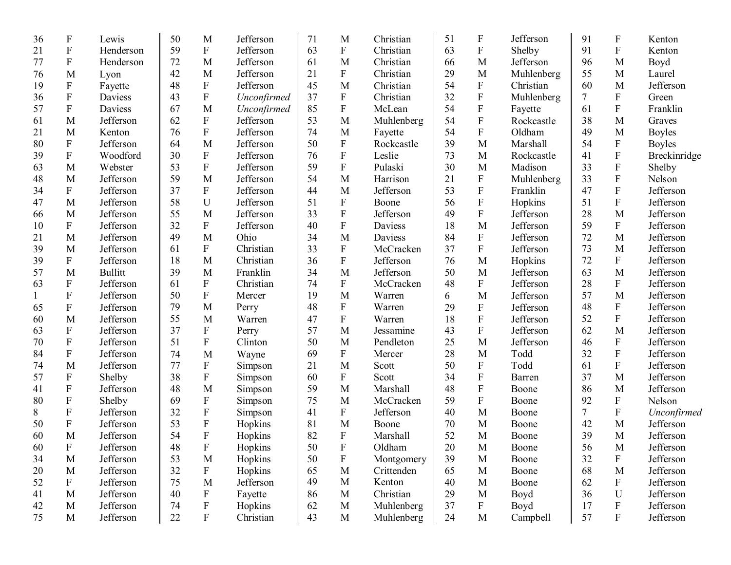| 36 | $\boldsymbol{\mathrm{F}}$ | Lewis          | 50 | M                         | Jefferson   | 71 | M                         | Christian  | 51     | $\boldsymbol{\mathrm{F}}$ | Jefferson  | 91     | $\boldsymbol{F}$          | Kenton        |
|----|---------------------------|----------------|----|---------------------------|-------------|----|---------------------------|------------|--------|---------------------------|------------|--------|---------------------------|---------------|
| 21 | $\mathbf F$               | Henderson      | 59 | ${\bf F}$                 | Jefferson   | 63 | ${\bf F}$                 | Christian  | 63     | ${\bf F}$                 | Shelby     | 91     | ${\bf F}$                 | Kenton        |
| 77 | ${\bf F}$                 | Henderson      | 72 | M                         | Jefferson   | 61 | M                         | Christian  | 66     | M                         | Jefferson  | 96     | M                         | Boyd          |
| 76 | M                         | Lyon           | 42 | M                         | Jefferson   | 21 | ${\bf F}$                 | Christian  | 29     | M                         | Muhlenberg | 55     | M                         | Laurel        |
| 19 | ${\bf F}$                 | Fayette        | 48 | $\mathbf{F}$              | Jefferson   | 45 | M                         | Christian  | 54     | ${\bf F}$                 | Christian  | 60     | M                         | Jefferson     |
| 36 | $\mathbf F$               | Daviess        | 43 | $\boldsymbol{\mathrm{F}}$ | Unconfirmed | 37 | ${\bf F}$                 | Christian  | 32     | $\boldsymbol{\mathrm{F}}$ | Muhlenberg | $\tau$ | ${\bf F}$                 | Green         |
| 57 | ${\bf F}$                 | Daviess        | 67 | M                         | Unconfirmed | 85 | ${\bf F}$                 | McLean     | 54     | ${\bf F}$                 | Fayette    | 61     | ${\bf F}$                 | Franklin      |
| 61 | M                         | Jefferson      | 62 | ${\bf F}$                 | Jefferson   | 53 | M                         | Muhlenberg | 54     | ${\bf F}$                 | Rockcastle | 38     | M                         | Graves        |
| 21 | M                         | Kenton         | 76 | ${\bf F}$                 | Jefferson   | 74 | M                         | Fayette    | 54     | ${\bf F}$                 | Oldham     | 49     | M                         | <b>Boyles</b> |
| 80 | ${\bf F}$                 | Jefferson      | 64 | M                         | Jefferson   | 50 | ${\bf F}$                 | Rockcastle | 39     | M                         | Marshall   | 54     | $\boldsymbol{\mathrm{F}}$ | <b>Boyles</b> |
| 39 | ${\bf F}$                 | Woodford       | 30 | $\mathbf F$               | Jefferson   | 76 | ${\bf F}$                 | Leslie     | 73     | M                         | Rockcastle | 41     | $\mathbf F$               | Breckinridge  |
| 63 | M                         | Webster        | 53 | ${\bf F}$                 | Jefferson   | 59 | ${\bf F}$                 | Pulaski    | 30     | M                         | Madison    | 33     | ${\bf F}$                 | Shelby        |
| 48 | M                         | Jefferson      | 59 | M                         | Jefferson   | 54 | M                         | Harrison   | 21     | ${\bf F}$                 | Muhlenberg | 33     | ${\bf F}$                 | Nelson        |
| 34 | ${\bf F}$                 | Jefferson      | 37 | $\mathbf{F}$              | Jefferson   | 44 | M                         | Jefferson  | 53     | ${\bf F}$                 | Franklin   | 47     | $\mathbf F$               | Jefferson     |
| 47 | M                         | Jefferson      | 58 | U                         | Jefferson   | 51 | ${\bf F}$                 | Boone      | 56     | $\boldsymbol{\mathrm{F}}$ | Hopkins    | 51     | ${\bf F}$                 | Jefferson     |
| 66 | M                         | Jefferson      | 55 | M                         | Jefferson   | 33 | ${\bf F}$                 | Jefferson  | 49     | ${\bf F}$                 | Jefferson  | 28     | M                         | Jefferson     |
| 10 | ${\bf F}$                 | Jefferson      | 32 | F                         | Jefferson   | 40 | ${\bf F}$                 | Daviess    | 18     | M                         | Jefferson  | 59     | ${\bf F}$                 | Jefferson     |
| 21 | M                         | Jefferson      | 49 | M                         | Ohio        | 34 | M                         | Daviess    | 84     | ${\bf F}$                 | Jefferson  | 72     | M                         | Jefferson     |
| 39 | M                         | Jefferson      | 61 | F                         | Christian   | 33 | ${\bf F}$                 | McCracken  | 37     | ${\bf F}$                 | Jefferson  | 73     | M                         | Jefferson     |
| 39 | ${\bf F}$                 | Jefferson      | 18 | M                         | Christian   | 36 | ${\bf F}$                 | Jefferson  | 76     | M                         | Hopkins    | 72     | $\mathbf{F}$              | Jefferson     |
| 57 | M                         | <b>Bullitt</b> | 39 | M                         | Franklin    | 34 | M                         | Jefferson  | 50     | M                         | Jefferson  | 63     | M                         | Jefferson     |
| 63 | ${\bf F}$                 | Jefferson      | 61 | $\mathbf{F}$              | Christian   | 74 | ${\bf F}$                 | McCracken  | 48     | ${\bf F}$                 | Jefferson  | 28     | $\mathbf{F}$              | Jefferson     |
|    | ${\bf F}$                 | Jefferson      | 50 | F                         | Mercer      | 19 | M                         | Warren     | 6      | M                         | Jefferson  | 57     | M                         | Jefferson     |
| 65 | ${\bf F}$                 | Jefferson      | 79 | M                         | Perry       | 48 | F                         | Warren     | 29     | $\rm F$                   | Jefferson  | 48     | $\boldsymbol{F}$          | Jefferson     |
| 60 | M                         | Jefferson      | 55 | M                         | Warren      | 47 | ${\bf F}$                 | Warren     | 18     | $\boldsymbol{\mathrm{F}}$ | Jefferson  | 52     | ${\bf F}$                 | Jefferson     |
| 63 | ${\bf F}$                 | Jefferson      | 37 | $\boldsymbol{\mathrm{F}}$ | Perry       | 57 | M                         | Jessamine  | 43     | ${\bf F}$                 | Jefferson  | 62     | M                         | Jefferson     |
| 70 | ${\bf F}$                 | Jefferson      | 51 | ${\bf F}$                 | Clinton     | 50 | M                         | Pendleton  | 25     | M                         | Jefferson  | 46     | ${\bf F}$                 | Jefferson     |
| 84 | $\mathbf F$               | Jefferson      | 74 | M                         | Wayne       | 69 | ${\bf F}$                 | Mercer     | 28     | M                         | Todd       | 32     | ${\bf F}$                 | Jefferson     |
| 74 | M                         | Jefferson      | 77 | ${\bf F}$                 | Simpson     | 21 | M                         | Scott      | 50     | ${\bf F}$                 | Todd       | 61     | ${\bf F}$                 | Jefferson     |
| 57 | ${\bf F}$                 | Shelby         | 38 | $\mathbf F$               | Simpson     | 60 | $\mathbf F$               | Scott      | 34     | ${\bf F}$                 | Barren     | 37     | M                         | Jefferson     |
| 41 | ${\bf F}$                 | Jefferson      | 48 | M                         | Simpson     | 59 | M                         | Marshall   | 48     | ${\bf F}$                 | Boone      | 86     | M                         | Jefferson     |
| 80 | $\boldsymbol{\mathrm{F}}$ | Shelby         | 69 | $\boldsymbol{\mathrm{F}}$ | Simpson     | 75 | M                         | McCracken  | 59     | ${\bf F}$                 | Boone      | 92     | $\boldsymbol{F}$          | Nelson        |
| 8  | ${\bf F}$                 | Jefferson      | 32 | $\boldsymbol{\mathrm{F}}$ | Simpson     | 41 | F                         | Jefferson  | 40     | M                         | Boone      | $\tau$ | $\boldsymbol{\mathrm{F}}$ | Unconfirmed   |
| 50 | $\boldsymbol{\mathrm{F}}$ | Jefferson      | 53 | ${\bf F}$                 | Hopkins     | 81 | M                         | Boone      | 70     | M                         | Boone      | 42     | M                         | Jefferson     |
| 60 | M                         | Jefferson      | 54 | ${\bf F}$                 | Hopkins     | 82 | ${\bf F}$                 | Marshall   | 52     | M                         | Boone      | 39     | M                         | Jefferson     |
| 60 | $\boldsymbol{\mathrm{F}}$ | Jefferson      | 48 | $\mathbf F$               | Hopkins     | 50 | $\mathbf F$               | Oldham     | $20\,$ | $\mathbf M$               | Boone      | 56     | M                         | Jefferson     |
| 34 | M                         | Jefferson      | 53 | M                         | Hopkins     | 50 | $\boldsymbol{\mathrm{F}}$ | Montgomery | 39     | M                         | Boone      | 32     | F                         | Jefferson     |
| 20 | M                         | Jefferson      | 32 | $\boldsymbol{\mathrm{F}}$ | Hopkins     | 65 | M                         | Crittenden | 65     | $\mathbf{M}$              | Boone      | 68     | M                         | Jefferson     |
| 52 | $\boldsymbol{\mathrm{F}}$ | Jefferson      | 75 | M                         | Jefferson   | 49 | M                         | Kenton     | 40     | $\mathbf{M}$              | Boone      | 62     | $\mathbf{F}$              | Jefferson     |
| 41 | M                         | Jefferson      | 40 | $\boldsymbol{\mathrm{F}}$ | Fayette     | 86 | M                         | Christian  | 29     | $\mathbf M$               | Boyd       | 36     | U                         | Jefferson     |
| 42 | $\mathbf{M}$              | Jefferson      | 74 | $\boldsymbol{\mathrm{F}}$ | Hopkins     | 62 | M                         | Muhlenberg | 37     | $\mathbf F$               | Boyd       | 17     | F                         | Jefferson     |
| 75 | $\mathbf{M}$              | Jefferson      | 22 | ${\bf F}$                 | Christian   | 43 | M                         | Muhlenberg | 24     | $\mathbf M$               | Campbell   | 57     | F                         | Jefferson     |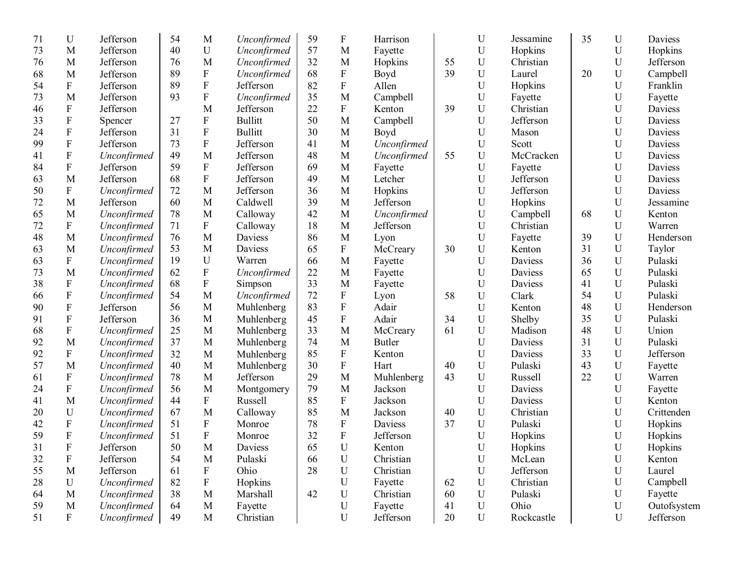| 71 | U                         | Jefferson   | 54 | M                         | Unconfirmed    | 59 | $\mathbf F$               | Harrison      |    | U           | Jessamine      | 35 | $\mathbf U$ | <b>Daviess</b> |
|----|---------------------------|-------------|----|---------------------------|----------------|----|---------------------------|---------------|----|-------------|----------------|----|-------------|----------------|
| 73 | M                         | Jefferson   | 40 | $\mathbf U$               | Unconfirmed    | 57 | M                         | Fayette       |    | U           | Hopkins        |    | U           | Hopkins        |
| 76 | M                         | Jefferson   | 76 | M                         | Unconfirmed    | 32 | M                         | Hopkins       | 55 | U           | Christian      |    | $\mathbf U$ | Jefferson      |
| 68 | M                         | Jefferson   | 89 | $\mathbf F$               | Unconfirmed    | 68 | $\boldsymbol{\mathrm{F}}$ | Boyd          | 39 | U           | Laurel         | 20 | $\mathbf U$ | Campbell       |
| 54 | ${\bf F}$                 | Jefferson   | 89 | ${\bf F}$                 | Jefferson      | 82 | $\boldsymbol{\mathrm{F}}$ | Allen         |    | U           | Hopkins        |    | U           | Franklin       |
| 73 | M                         | Jefferson   | 93 | ${\bf F}$                 | Unconfirmed    | 35 | M                         | Campbell      |    | U           | Fayette        |    | U           | Fayette        |
| 46 | ${\bf F}$                 | Jefferson   |    | M                         | Jefferson      | 22 | ${\bf F}$                 | Kenton        | 39 | U           | Christian      |    | $\mathbf U$ | Daviess        |
| 33 | ${\bf F}$                 | Spencer     | 27 | $\boldsymbol{\mathrm{F}}$ | <b>Bullitt</b> | 50 | M                         | Campbell      |    | U           | Jefferson      |    | $\mathbf U$ | Daviess        |
| 24 | ${\bf F}$                 | Jefferson   | 31 | ${\bf F}$                 | <b>Bullitt</b> | 30 | M                         | Boyd          |    | U           | Mason          |    | $\mathbf U$ | Daviess        |
| 99 | ${\bf F}$                 | Jefferson   | 73 | ${\bf F}$                 | Jefferson      | 41 | M                         | Unconfirmed   |    | $\mathbf U$ | Scott          |    | $\mathbf U$ | Daviess        |
| 41 | ${\bf F}$                 | Unconfirmed | 49 | M                         | Jefferson      | 48 | M                         | Unconfirmed   | 55 | U           | McCracken      |    | $\mathbf U$ | Daviess        |
| 84 | ${\bf F}$                 | Jefferson   | 59 | $\boldsymbol{\mathrm{F}}$ | Jefferson      | 69 | M                         | Fayette       |    | $\mathbf U$ | Fayette        |    | $\mathbf U$ | Daviess        |
| 63 | M                         | Jefferson   | 68 | ${\bf F}$                 | Jefferson      | 49 | M                         | Letcher       |    | U           | Jefferson      |    | $\mathbf U$ | Daviess        |
| 50 | ${\bf F}$                 | Unconfirmed | 72 | M                         | Jefferson      | 36 | M                         | Hopkins       |    | U           | Jefferson      |    | $\mathbf U$ | Daviess        |
| 72 | M                         | Jefferson   | 60 | M                         | Caldwell       | 39 | M                         | Jefferson     |    | U           | Hopkins        |    | $\mathbf U$ | Jessamine      |
| 65 | M                         | Unconfirmed | 78 | M                         | Calloway       | 42 | M                         | Unconfirmed   |    | U           | Campbell       | 68 | $\mathbf U$ | Kenton         |
| 72 | ${\bf F}$                 | Unconfirmed | 71 | $\boldsymbol{\mathrm{F}}$ | Calloway       | 18 | M                         | Jefferson     |    | U           | Christian      |    | $\mathbf U$ | Warren         |
| 48 | M                         | Unconfirmed | 76 | M                         | Daviess        | 86 | M                         | Lyon          |    | ${\bf U}$   | Fayette        | 39 | $\mathbf U$ | Henderson      |
| 63 | M                         | Unconfirmed | 53 | M                         | Daviess        | 65 | F                         | McCreary      | 30 | U           | Kenton         | 31 | $\mathbf U$ | Taylor         |
| 63 | ${\bf F}$                 | Unconfirmed | 19 | $\mathbf U$               | Warren         | 66 | M                         | Fayette       |    | U           | <b>Daviess</b> | 36 | $\mathbf U$ | Pulaski        |
| 73 | M                         | Unconfirmed | 62 | ${\bf F}$                 | Unconfirmed    | 22 | M                         | Fayette       |    | U           | Daviess        | 65 | $\mathbf U$ | Pulaski        |
| 38 | ${\bf F}$                 | Unconfirmed | 68 | ${\bf F}$                 | Simpson        | 33 | M                         | Fayette       |    | U           | <b>Daviess</b> | 41 | $\mathbf U$ | Pulaski        |
| 66 | ${\bf F}$                 | Unconfirmed | 54 | M                         | Unconfirmed    | 72 | F                         | Lyon          | 58 | U           | Clark          | 54 | $\mathbf U$ | Pulaski        |
| 90 | ${\bf F}$                 | Jefferson   | 56 | M                         | Muhlenberg     | 83 | $\boldsymbol{\mathrm{F}}$ | Adair         |    | U           | Kenton         | 48 | $\mathbf U$ | Henderson      |
| 91 | ${\bf F}$                 | Jefferson   | 36 | M                         | Muhlenberg     | 45 | ${\bf F}$                 | Adair         | 34 | ${\bf U}$   | Shelby         | 35 | $\mathbf U$ | Pulaski        |
| 68 | F                         | Unconfirmed | 25 | M                         | Muhlenberg     | 33 | M                         | McCreary      | 61 | ${\bf U}$   | Madison        | 48 | ${\bf U}$   | Union          |
| 92 | M                         | Unconfirmed | 37 | M                         | Muhlenberg     | 74 | M                         | <b>Butler</b> |    | $\mathbf U$ | Daviess        | 31 | ${\bf U}$   | Pulaski        |
| 92 | $\boldsymbol{\mathrm{F}}$ | Unconfirmed | 32 | M                         | Muhlenberg     | 85 | F                         | Kenton        |    | $\mathbf U$ | Daviess        | 33 | U           | Jefferson      |
| 57 | M                         | Unconfirmed | 40 | M                         | Muhlenberg     | 30 | $\rm F$                   | Hart          | 40 | ${\bf U}$   | Pulaski        | 43 | $\mathbf U$ | Fayette        |
| 61 | $\boldsymbol{\mathrm{F}}$ | Unconfirmed | 78 | M                         | Jefferson      | 29 | M                         | Muhlenberg    | 43 | U           | Russell        | 22 | $\mathbf U$ | Warren         |
| 24 | $\boldsymbol{\mathrm{F}}$ | Unconfirmed | 56 | M                         | Montgomery     | 79 | M                         | Jackson       |    | $\mathbf U$ | Daviess        |    | $\mathbf U$ | Fayette        |
| 41 | M                         | Unconfirmed | 44 | ${\bf F}$                 | Russell        | 85 | $\boldsymbol{F}$          | Jackson       |    | U           | Daviess        |    | $\mathbf U$ | Kenton         |
| 20 | $\mathbf U$               | Unconfirmed | 67 | M                         | Calloway       | 85 | M                         | Jackson       | 40 | U           | Christian      |    | $\mathbf U$ | Crittenden     |
| 42 | F                         | Unconfirmed | 51 | ${\bf F}$                 | Monroe         | 78 | ${\bf F}$                 | Daviess       | 37 | U           | Pulaski        |    | U           | Hopkins        |
| 59 | F                         | Unconfirmed | 51 | F                         | Monroe         | 32 | ${\bf F}$                 | Jefferson     |    | U           | Hopkins        |    | ${\bf U}$   | Hopkins        |
| 31 | $\mathbf F$               | Jefferson   | 50 | $\mathbf M$               | Daviess        | 65 | $\mathbf U$               | Kenton        |    | ${\bf U}$   | Hopkins        |    | ${\bf U}$   | Hopkins        |
| 32 | $\boldsymbol{\mathrm{F}}$ | Jefferson   | 54 | M                         | Pulaski        | 66 | $\mathbf U$               | Christian     |    | ${\bf U}$   | McLean         |    | ${\bf U}$   | Kenton         |
| 55 | $\mathbf{M}$              | Jefferson   | 61 | ${\bf F}$                 | Ohio           | 28 | $\mathbf U$               | Christian     |    | ${\bf U}$   | Jefferson      |    | $\mathbf U$ | Laurel         |
| 28 | $\mathbf U$               | Unconfirmed | 82 | ${\bf F}$                 | Hopkins        |    | U                         | Fayette       | 62 | ${\bf U}$   | Christian      |    | $\mathbf U$ | Campbell       |
| 64 | M                         | Unconfirmed | 38 | M                         | Marshall       | 42 | $\mathbf U$               | Christian     | 60 | $\mathbf U$ | Pulaski        |    | ${\bf U}$   | Fayette        |
| 59 | M                         | Unconfirmed | 64 | M                         | Fayette        |    | U                         | Fayette       | 41 | $\mathbf U$ | Ohio           |    | ${\bf U}$   | Outofsystem    |
| 51 | $\mathbf{F}$              | Unconfirmed | 49 | $\mathbf M$               | Christian      |    | U                         | Jefferson     | 20 | $\mathbf U$ | Rockcastle     |    | $\mathbf U$ | Jefferson      |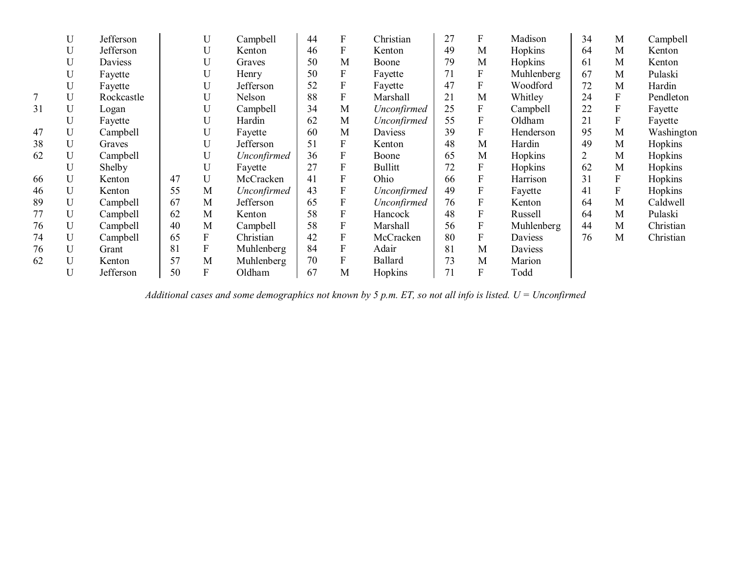|    | U           | Jefferson  |    | U           | Campbell    | 44 | F                | Christian      | 27 | F                | Madison    | 34             | M                | Campbell   |
|----|-------------|------------|----|-------------|-------------|----|------------------|----------------|----|------------------|------------|----------------|------------------|------------|
|    | U           | Jefferson  |    | U           | Kenton      | 46 | F                | Kenton         | 49 | M                | Hopkins    | 64             | M                | Kenton     |
|    | U           | Daviess    |    | U           | Graves      | 50 | M                | Boone          | 79 | M                | Hopkins    | 61             | M                | Kenton     |
|    | U           | Fayette    |    | U           | Henry       | 50 | F                | Fayette        | 71 | $\boldsymbol{F}$ | Muhlenberg | 67             | M                | Pulaski    |
|    | U           | Fayette    |    | U           | Jefferson   | 52 | $\boldsymbol{F}$ | Fayette        | 47 | $\boldsymbol{F}$ | Woodford   | 72             | M                | Hardin     |
| 7  | U           | Rockcastle |    | U           | Nelson      | 88 | F                | Marshall       | 21 | M                | Whitley    | 24             | $\overline{F}$   | Pendleton  |
| 31 | U           | Logan      |    | U           | Campbell    | 34 | M                | Unconfirmed    | 25 | F                | Campbell   | 22             | ${\bf F}$        | Fayette    |
|    | U           | Fayette    |    | U           | Hardin      | 62 | M                | Unconfirmed    | 55 | F                | Oldham     | 21             | F                | Fayette    |
| 47 | U           | Campbell   |    | U           | Fayette     | 60 | M                | <b>Daviess</b> | 39 | $\mathbf F$      | Henderson  | 95             | M                | Washington |
| 38 | U           | Graves     |    | U           | Jefferson   | 51 | F                | Kenton         | 48 | M                | Hardin     | 49             | M                | Hopkins    |
| 62 | U           | Campbell   |    | U           | Unconfirmed | 36 | F                | Boone          | 65 | M                | Hopkins    | $\overline{2}$ | M                | Hopkins    |
|    | U           | Shelby     |    | U           | Fayette     | 27 | $\mathbf{F}$     | <b>Bullitt</b> | 72 | F                | Hopkins    | 62             | M                | Hopkins    |
| 66 | U           | Kenton     | 47 | $\mathbf U$ | McCracken   | 41 | F                | Ohio           | 66 | F                | Harrison   | 31             | $\boldsymbol{F}$ | Hopkins    |
| 46 | U           | Kenton     | 55 | M           | Unconfirmed | 43 | F                | Unconfirmed    | 49 | ${\bf F}$        | Fayette    | 41             | $\overline{F}$   | Hopkins    |
| 89 | U           | Campbell   | 67 | M           | Jefferson   | 65 | $\boldsymbol{F}$ | Unconfirmed    | 76 | $\boldsymbol{F}$ | Kenton     | 64             | M                | Caldwell   |
| 77 | U           | Campbell   | 62 | M           | Kenton      | 58 | F                | Hancock        | 48 | $\mathbf{F}$     | Russell    | 64             | M                | Pulaski    |
| 76 | U           | Campbell   | 40 | M           | Campbell    | 58 | F                | Marshall       | 56 | $\mathbf F$      | Muhlenberg | 44             | M                | Christian  |
| 74 | U           | Campbell   | 65 | F           | Christian   | 42 | F                | McCracken      | 80 | F                | Daviess    | 76             | M                | Christian  |
| 76 | U           | Grant      | 81 | F           | Muhlenberg  | 84 | $\boldsymbol{F}$ | Adair          | 81 | M                | Daviess    |                |                  |            |
| 62 | $\mathbf U$ | Kenton     | 57 | M           | Muhlenberg  | 70 | F                | Ballard        | 73 | M                | Marion     |                |                  |            |
|    | U           | Jefferson  | 50 | F           | Oldham      | 67 | M                | Hopkins        | 71 | ${\bf F}$        | Todd       |                |                  |            |

*Additional cases and some demographics not known by 5 p.m. ET, so not all info is listed. U = Unconfirmed*